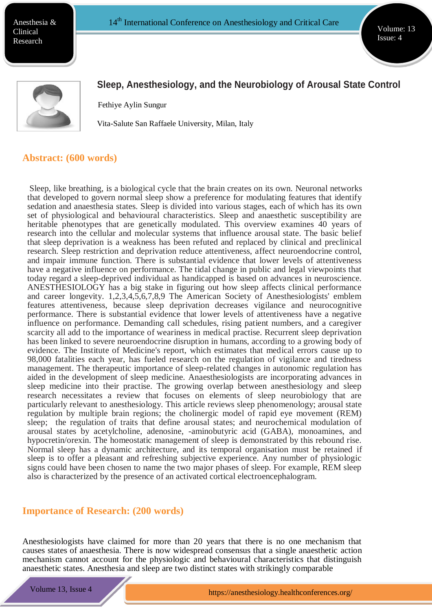Anesthesia & Clinical Research

Volume: 13 Issue: 4



# **Sleep, Anesthesiology, and the Neurobiology of Arousal State Control**

Fethiye Aylin Sungur

Vita-Salute San Raffaele University, Milan, Italy

#### **Abstract: (600 words)**

Sleep, like breathing, is a biological cycle that the brain creates on its own. Neuronal networks that developed to govern normal sleep show a preference for modulating features that identify sedation and anaesthesia states. Sleep is divided into various stages, each of which has its own set of physiological and behavioural characteristics. Sleep and anaesthetic susceptibility are heritable phenotypes that are genetically modulated. This overview examines 40 years of research into the cellular and molecular systems that influence arousal state. The basic belief that sleep deprivation is a weakness has been refuted and replaced by clinical and preclinical research. Sleep restriction and deprivation reduce attentiveness, affect neuroendocrine control, and impair immune function. There is substantial evidence that lower levels of attentiveness have a negative influence on performance. The tidal change in public and legal viewpoints that today regard a sleep-deprived individual as handicapped is based on advances in neuroscience. ANESTHESIOLOGY has a big stake in figuring out how sleep affects clinical performance and career longevity. 1,2,3,4,5,6,7,8,9 The American Society of Anesthesiologists' emblem features attentiveness, because sleep deprivation decreases vigilance and neurocognitive performance. There is substantial evidence that lower levels of attentiveness have a negative influence on performance. Demanding call schedules, rising patient numbers, and a caregiver scarcity all add to the importance of weariness in medical practise. Recurrent sleep deprivation has been linked to severe neuroendocrine disruption in humans, according to a growing body of evidence. The Institute of Medicine's report, which estimates that medical errors cause up to 98,000 fatalities each year, has fueled research on the regulation of vigilance and tiredness management. The therapeutic importance of sleep-related changes in autonomic regulation has aided in the development of sleep medicine. Anaesthesiologists are incorporating advances in sleep medicine into their practise. The growing overlap between anesthesiology and sleep research necessitates a review that focuses on elements of sleep neurobiology that are particularly relevant to anesthesiology. This article reviews sleep phenomenology; arousal state regulation by multiple brain regions; the cholinergic model of rapid eye movement (REM) sleep; the regulation of traits that define arousal states; and neurochemical modulation of arousal states by acetylcholine, adenosine, -aminobutyric acid (GABA), monoamines, and hypocretin/orexin. The homeostatic management of sleep is demonstrated by this rebound rise. Normal sleep has a dynamic architecture, and its temporal organisation must be retained if sleep is to offer a pleasant and refreshing subjective experience. Any number of physiologic signs could have been chosen to name the two major phases of sleep. For example, REM sleep also is characterized by the presence of an activated cortical electroencephalogram.

#### **Importance of Research: (200 words)**

**ht[tps://ww](http://www.meetingsint.com/conferences/emergencymedicine)w.m[eetingsint.com/confences/emergencymedicine](http://www.meetingsint.com/conferences/emergencymedicine)**

Anesthesiologists have claimed for more than 20 years that there is no one mechanism that causes states of anaesthesia. There is now widespread consensus that a single anaesthetic action mechanism cannot account for the physiologic and behavioural characteristics that distinguish anaesthetic states. Anesthesia and sleep are two distinct states with strikingly comparable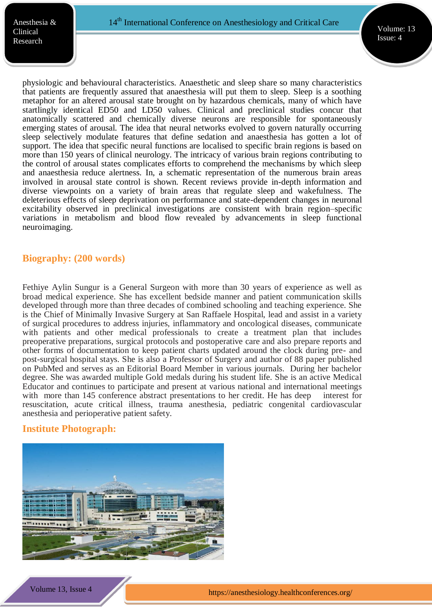physiologic and behavioural characteristics. Anaesthetic and sleep share so many characteristics that patients are frequently assured that anaesthesia will put them to sleep. Sleep is a soothing metaphor for an altered arousal state brought on by hazardous chemicals, many of which have startlingly identical ED50 and LD50 values. Clinical and preclinical studies concur that anatomically scattered and chemically diverse neurons are responsible for spontaneously emerging states of arousal. The idea that neural networks evolved to govern naturally occurring sleep selectively modulate features that define sedation and anaesthesia has gotten a lot of support. The idea that specific neural functions are localised to specific brain regions is based on more than 150 years of clinical neurology. The intricacy of various brain regions contributing to the control of arousal states complicates efforts to comprehend the mechanisms by which sleep and anaesthesia reduce alertness. In, a schematic representation of the numerous brain areas involved in arousal state control is shown. Recent reviews provide in-depth information and diverse viewpoints on a variety of brain areas that regulate sleep and wakefulness. The deleterious effects of sleep deprivation on performance and state-dependent changes in neuronal excitability observed in preclinical investigations are consistent with brain region–specific variations in metabolism and blood flow revealed by advancements in sleep functional neuroimaging.

## **Biography: (200 words)**

Fethiye Aylin Sungur is a General Surgeon with more than 30 years of experience as well as broad medical experience. She has excellent bedside manner and patient communication skills developed through more than three decades of combined schooling and teaching experience. She is the Chief of Minimally Invasive Surgery at San Raffaele Hospital, lead and assist in a variety of surgical procedures to address injuries, inflammatory and oncological diseases, communicate with patients and other medical professionals to create a treatment plan that includes preoperative preparations, surgical protocols and postoperative care and also prepare reports and other forms of documentation to keep patient charts updated around the clock during pre- and post-surgical hospital stays. She is also a Professor of Surgery and author of 88 paper published on PubMed and serves as an Editorial Board Member in various journals. During her bachelor degree. She was awarded multiple Gold medals during his student life. She is an active Medical Educator and continues to participate and present at various national and international meetings with more than 145 conference abstract presentations to her credit. He has deep interest for resuscitation, acute critical illness, trauma anesthesia, pediatric congenital cardiovascular anesthesia and perioperative patient safety.

## **Institute Photograph:**